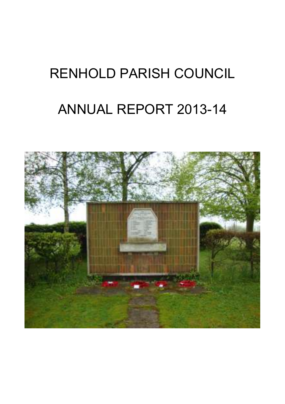# RENHOLD PARISH COUNCIL

# ANNUAL REPORT 2013-14

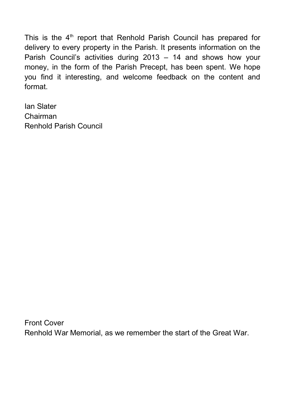This is the  $4<sup>th</sup>$  report that Renhold Parish Council has prepared for delivery to every property in the Parish. It presents information on the Parish Council's activities during 2013 – 14 and shows how your money, in the form of the Parish Precept, has been spent. We hope you find it interesting, and welcome feedback on the content and format.

Ian Slater Chairman Renhold Parish Council

Front Cover Renhold War Memorial, as we remember the start of the Great War.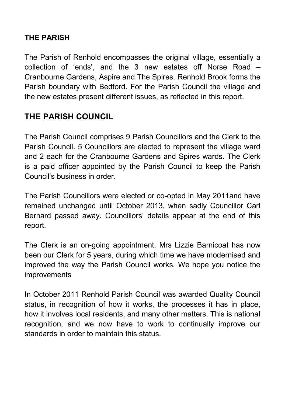# **THE PARISH**

The Parish of Renhold encompasses the original village, essentially a collection of 'ends', and the 3 new estates off Norse Road – Cranbourne Gardens, Aspire and The Spires. Renhold Brook forms the Parish boundary with Bedford. For the Parish Council the village and the new estates present different issues, as reflected in this report.

# **THE PARISH COUNCIL**

The Parish Council comprises 9 Parish Councillors and the Clerk to the Parish Council. 5 Councillors are elected to represent the village ward and 2 each for the Cranbourne Gardens and Spires wards. The Clerk is a paid officer appointed by the Parish Council to keep the Parish Council's business in order.

The Parish Councillors were elected or co-opted in May 2011and have remained unchanged until October 2013, when sadly Councillor Carl Bernard passed away. Councillors' details appear at the end of this report.

The Clerk is an on-going appointment. Mrs Lizzie Barnicoat has now been our Clerk for 5 years, during which time we have modernised and improved the way the Parish Council works. We hope you notice the improvements

In October 2011 Renhold Parish Council was awarded Quality Council status, in recognition of how it works, the processes it has in place, how it involves local residents, and many other matters. This is national recognition, and we now have to work to continually improve our standards in order to maintain this status.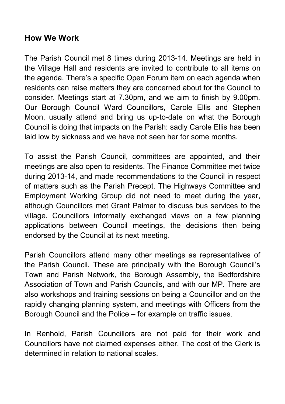# **How We Work**

The Parish Council met 8 times during 2013-14. Meetings are held in the Village Hall and residents are invited to contribute to all items on the agenda. There's a specific Open Forum item on each agenda when residents can raise matters they are concerned about for the Council to consider. Meetings start at 7.30pm, and we aim to finish by 9.00pm. Our Borough Council Ward Councillors, Carole Ellis and Stephen Moon, usually attend and bring us up-to-date on what the Borough Council is doing that impacts on the Parish: sadly Carole Ellis has been laid low by sickness and we have not seen her for some months.

To assist the Parish Council, committees are appointed, and their meetings are also open to residents. The Finance Committee met twice during 2013-14, and made recommendations to the Council in respect of matters such as the Parish Precept. The Highways Committee and Employment Working Group did not need to meet during the year, although Councillors met Grant Palmer to discuss bus services to the village. Councillors informally exchanged views on a few planning applications between Council meetings, the decisions then being endorsed by the Council at its next meeting.

Parish Councillors attend many other meetings as representatives of the Parish Council. These are principally with the Borough Council's Town and Parish Network, the Borough Assembly, the Bedfordshire Association of Town and Parish Councils, and with our MP. There are also workshops and training sessions on being a Councillor and on the rapidly changing planning system, and meetings with Officers from the Borough Council and the Police – for example on traffic issues.

In Renhold, Parish Councillors are not paid for their work and Councillors have not claimed expenses either. The cost of the Clerk is determined in relation to national scales.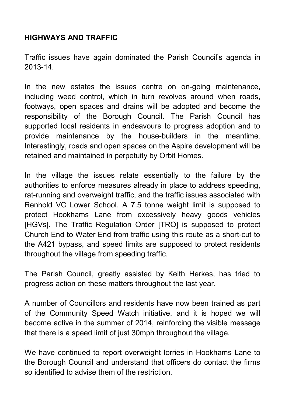#### **HIGHWAYS AND TRAFFIC**

Traffic issues have again dominated the Parish Council's agenda in 2013-14.

In the new estates the issues centre on on-going maintenance, including weed control, which in turn revolves around when roads, footways, open spaces and drains will be adopted and become the responsibility of the Borough Council. The Parish Council has supported local residents in endeavours to progress adoption and to provide maintenance by the house-builders in the meantime. Interestingly, roads and open spaces on the Aspire development will be retained and maintained in perpetuity by Orbit Homes.

In the village the issues relate essentially to the failure by the authorities to enforce measures already in place to address speeding, rat-running and overweight traffic, and the traffic issues associated with Renhold VC Lower School. A 7.5 tonne weight limit is supposed to protect Hookhams Lane from excessively heavy goods vehicles [HGVs]. The Traffic Regulation Order [TRO] is supposed to protect Church End to Water End from traffic using this route as a short-cut to the A421 bypass, and speed limits are supposed to protect residents throughout the village from speeding traffic.

The Parish Council, greatly assisted by Keith Herkes, has tried to progress action on these matters throughout the last year.

A number of Councillors and residents have now been trained as part of the Community Speed Watch initiative, and it is hoped we will become active in the summer of 2014, reinforcing the visible message that there is a speed limit of just 30mph throughout the village.

We have continued to report overweight lorries in Hookhams Lane to the Borough Council and understand that officers do contact the firms so identified to advise them of the restriction.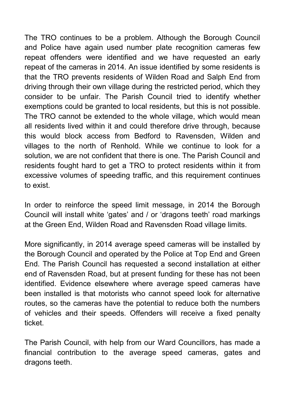The TRO continues to be a problem. Although the Borough Council and Police have again used number plate recognition cameras few repeat offenders were identified and we have requested an early repeat of the cameras in 2014. An issue identified by some residents is that the TRO prevents residents of Wilden Road and Salph End from driving through their own village during the restricted period, which they consider to be unfair. The Parish Council tried to identify whether exemptions could be granted to local residents, but this is not possible. The TRO cannot be extended to the whole village, which would mean all residents lived within it and could therefore drive through, because this would block access from Bedford to Ravensden, Wilden and villages to the north of Renhold. While we continue to look for a solution, we are not confident that there is one. The Parish Council and residents fought hard to get a TRO to protect residents within it from excessive volumes of speeding traffic, and this requirement continues to exist.

In order to reinforce the speed limit message, in 2014 the Borough Council will install white 'gates' and / or 'dragons teeth' road markings at the Green End, Wilden Road and Ravensden Road village limits.

More significantly, in 2014 average speed cameras will be installed by the Borough Council and operated by the Police at Top End and Green End. The Parish Council has requested a second installation at either end of Ravensden Road, but at present funding for these has not been identified. Evidence elsewhere where average speed cameras have been installed is that motorists who cannot speed look for alternative routes, so the cameras have the potential to reduce both the numbers of vehicles and their speeds. Offenders will receive a fixed penalty ticket.

The Parish Council, with help from our Ward Councillors, has made a financial contribution to the average speed cameras, gates and dragons teeth.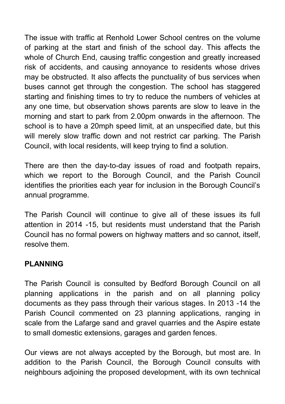The issue with traffic at Renhold Lower School centres on the volume of parking at the start and finish of the school day. This affects the whole of Church End, causing traffic congestion and greatly increased risk of accidents, and causing annoyance to residents whose drives may be obstructed. It also affects the punctuality of bus services when buses cannot get through the congestion. The school has staggered starting and finishing times to try to reduce the numbers of vehicles at any one time, but observation shows parents are slow to leave in the morning and start to park from 2.00pm onwards in the afternoon. The school is to have a 20mph speed limit, at an unspecified date, but this will merely slow traffic down and not restrict car parking. The Parish Council, with local residents, will keep trying to find a solution.

There are then the day-to-day issues of road and footpath repairs, which we report to the Borough Council, and the Parish Council identifies the priorities each year for inclusion in the Borough Council's annual programme.

The Parish Council will continue to give all of these issues its full attention in 2014 -15, but residents must understand that the Parish Council has no formal powers on highway matters and so cannot, itself, resolve them.

# **PLANNING**

The Parish Council is consulted by Bedford Borough Council on all planning applications in the parish and on all planning policy documents as they pass through their various stages. In 2013 -14 the Parish Council commented on 23 planning applications, ranging in scale from the Lafarge sand and gravel quarries and the Aspire estate to small domestic extensions, garages and garden fences.

Our views are not always accepted by the Borough, but most are. In addition to the Parish Council, the Borough Council consults with neighbours adjoining the proposed development, with its own technical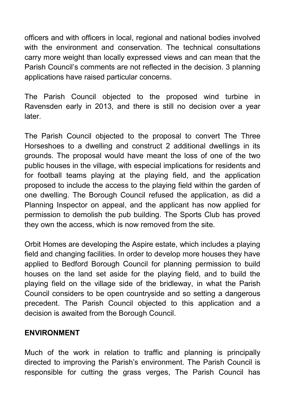officers and with officers in local, regional and national bodies involved with the environment and conservation. The technical consultations carry more weight than locally expressed views and can mean that the Parish Council's comments are not reflected in the decision. 3 planning applications have raised particular concerns.

The Parish Council objected to the proposed wind turbine in Ravensden early in 2013, and there is still no decision over a year later.

The Parish Council objected to the proposal to convert The Three Horseshoes to a dwelling and construct 2 additional dwellings in its grounds. The proposal would have meant the loss of one of the two public houses in the village, with especial implications for residents and for football teams playing at the playing field, and the application proposed to include the access to the playing field within the garden of one dwelling. The Borough Council refused the application, as did a Planning Inspector on appeal, and the applicant has now applied for permission to demolish the pub building. The Sports Club has proved they own the access, which is now removed from the site.

Orbit Homes are developing the Aspire estate, which includes a playing field and changing facilities. In order to develop more houses they have applied to Bedford Borough Council for planning permission to build houses on the land set aside for the playing field, and to build the playing field on the village side of the bridleway, in what the Parish Council considers to be open countryside and so setting a dangerous precedent. The Parish Council objected to this application and a decision is awaited from the Borough Council.

#### **ENVIRONMENT**

Much of the work in relation to traffic and planning is principally directed to improving the Parish's environment. The Parish Council is responsible for cutting the grass verges, The Parish Council has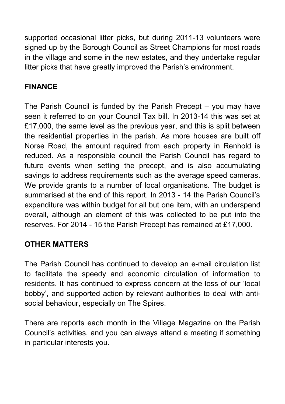supported occasional litter picks, but during 2011-13 volunteers were signed up by the Borough Council as Street Champions for most roads in the village and some in the new estates, and they undertake regular litter picks that have greatly improved the Parish's environment.

# **FINANCE**

The Parish Council is funded by the Parish Precept – you may have seen it referred to on your Council Tax bill. In 2013-14 this was set at £17,000, the same level as the previous year, and this is split between the residential properties in the parish. As more houses are built off Norse Road, the amount required from each property in Renhold is reduced. As a responsible council the Parish Council has regard to future events when setting the precept, and is also accumulating savings to address requirements such as the average speed cameras. We provide grants to a number of local organisations. The budget is summarised at the end of this report. In 2013 - 14 the Parish Council's expenditure was within budget for all but one item, with an underspend overall, although an element of this was collected to be put into the reserves. For 2014 - 15 the Parish Precept has remained at £17,000.

# **OTHER MATTERS**

The Parish Council has continued to develop an e-mail circulation list to facilitate the speedy and economic circulation of information to residents. It has continued to express concern at the loss of our 'local bobby', and supported action by relevant authorities to deal with antisocial behaviour, especially on The Spires.

There are reports each month in the Village Magazine on the Parish Council's activities, and you can always attend a meeting if something in particular interests you.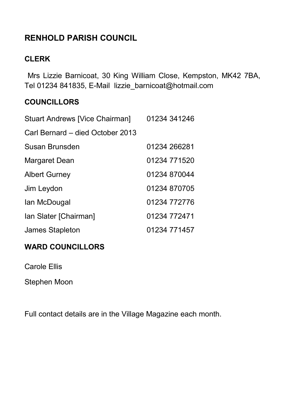# **RENHOLD PARISH COUNCIL**

### **CLERK**

 Mrs Lizzie Barnicoat, 30 King William Close, Kempston, MK42 7BA, Tel 01234 841835, E-Mail lizzie\_barnicoat@hotmail.com

#### **COUNCILLORS**

| Stuart Andrews [Vice Chairman]   | 01234 341246 |
|----------------------------------|--------------|
| Carl Bernard – died October 2013 |              |
| Susan Brunsden                   | 01234 266281 |
| Margaret Dean                    | 01234 771520 |
| <b>Albert Gurney</b>             | 01234 870044 |
| Jim Leydon                       | 01234 870705 |
| lan McDougal                     | 01234 772776 |
| Ian Slater [Chairman]            | 01234 772471 |
| James Stapleton                  | 01234 771457 |

# **WARD COUNCILLORS**

Carole Ellis

Stephen Moon

Full contact details are in the Village Magazine each month.